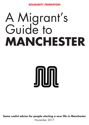**SOLIDARITY FEDERATION**

## A Migrant's Guide to **MANCHESTER**

# JNUML

**Some useful advice for people starting a new life in Manchester**

November 2017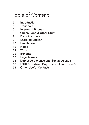## Table of Contents

- Introduction
- Transport
- Internet & Phones
- Cheap Food & Other Stuff
- Bank Accounts
- Learning English
- Healthcare
- Home
- Work
- Benefits
- Legal Issues
- Domestic Violence and Sexual Assault
- LGBT\* (Lesbian, Gay, Bisexual and Trans\*)
- Other Useful Contacts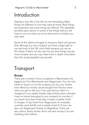## Introduction

Starting a new life in the UK can be intimidating. Many things are different to how they were at home. Most things are expensive, and some things are difficult. This pamphlet provides basic advice on some of the things that you will have to sort out when you arrive here and on troubles you may have.

Some of this advice will apply to everyone. Most will assume that, although you are a migrant, you have a legal right to live and work in the UK, most likely because you are an EU citizen. If that's not the case for you then things may be more complex and you may need more in depth information than this small pamphlet can provide.

## **Transport**

#### **Buses**

There are a number of bus companies in Manchester; the biggest are First Manchester and Stagecoach. You can only travel on buses run by the company you buy your tickets from. Most bus tickets can be bought from the bus driver when you get on the bus. If you use the bus often it is cheapest to buy weekly tickets. Daily tickets allow unlimited travel on buses belonging to one company for one day; if you travel more than three days a week a weekly ticket is cheaper. A day ticket from Stagecoach, for example, currently costs £4.30, and a weekly ticket £14 (you can also use Stagecoach tickets on MagicBus). There are also various family tickets which will save money if you are travelling with children.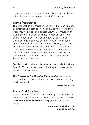If you are caught traveling with an invalid ticket or without a ticket, there is an on the spot fine of £50 or more.

#### Trams (Metrolink)

The cheapest time to travel on the tram is between 9:30am and midnight, Monday to Friday, and at any time during the weekend. Weekend travel tickets allow you to travel on any tram from after 6:00pm on Friday to midnight on Sunday and are good value. The weekend family ticket, which allows two adults and two children to travel, is a cheaper option. A day travel card costs £5 and allows you to travel on any tram between 9.30am and midnight. There is also a family day travelcard. Ticket machines at each tram stop sell single, return and daily tickets, but not weekly tickets, which are on sale at Transport for Greater Manchester Travelshops and website.

People traveling without a ticket or with an invalid ticket are fined £100. Unlike the buses, ticket inspectors frequently inspect tickets on trams.

The *Transport for Greater Manchester* website can help you find how to travel from one place to another using public transport:

#### **www.tfgm.com**

#### Trains And Coaches

If travelling long distance it is often cheaper to buy a ticket in advance, but beware that advance tickets are not flexible. *National Rail Enquiries* will help you find times and prices:

> **www.nationalrail.co.uk 08457 48 49 50**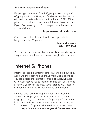People aged between 16 and 25, people over the age of 60, people with disabilities, and families or couples may be eligible to buy railcards, which entitle them to 33% off the price of train tickets. It may be worth buying these railcards if you often travel by train. You can purchase them online or at train stations.

#### **https://www.railcard.co.uk/**

Coaches are often cheaper than trains, especially the budget ones like Megabus:

#### **uk.megabus.com 0141 332 9644**

You can find the exact location of any UK address by typing the post code into the search box on Google Maps or Bing

## Internet & Phones

Internet access in an internet cafe is around £1/hour. They also have photocopying and cheap international phone calls. You can access the internet for free in libraries. Libraries will usually require you to register. It's free but you will need proof that you live in the area. Some libraries allow access without registering, so it's worth asking at the counter.

Libraries also have newspapers, magazines, resources for learning English, and many have books in different languages. They are good places for getting information on local community resources, events, education, housing, etc. You can search for places with free internet access here:

**http://www.manchester.gov.uk/internetaccess**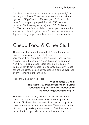A mobile phone without a contract is called 'prepaid', 'pay as you go' or 'PAYG'. There are networks such as Lebara, Lycatel or Giffgaff which offer very good SIM card only deals. You can get a pre-paid SIM with 250 minutes, unlimited SMS messages (texts) and 1GB of internet data for £10 a month. Small mobile phone shops in local markets are the best place to get a cheap SIM and a cheap handset. Argos and large supermarkets also sell cheap handsets.

## Cheap Food & Other Stuff

The cheapest supermarkets are Lidl, Aldi or Morrisons. Sometimes you can get food that expires on the day very cheap if you come late in the evening. Food is often cheaper in markets than in shops. Skipping (taking food from bins) is a crime but prosecutions are not common. You are likely to get trouble from security guards if you get caught. Be careful as sometimes bleach is poured over food and there may be rats in the bin.

Places that give out free food:

#### **Wednesdays 7:30pm The Roby, 307 Dickenson Rd, M13 0NG: foodcycle.org.uk/location/manchester manchester@foodcycle.org.uk**

The most expensive way to shop is at local independent shops. The large supermarket chains are cheaper with Lidl and Aldi being the cheapest. Using 'pound' shops is a cheap alternative, as are local markets. There are a number of cheap shops selling a wide variety of fruit & vegetables. Local charity shops sell cheap second hand clothes and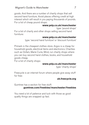goods. And there are a number of charity shops that sell second hand furniture. Avoid places offering credit at high interest which will result in you paying thousands of pounds. For a list of cheap pound shops:

#### **www.yelp.co.uk/manchester**

type: 'pound shops' For a list of charity and other shops selling second hand furniture:

#### **www.yelp.co.uk/manchester**

type: 'second hand furniture' or 'discount furniture'

Primark is the cheapest clothes store. Argos is a cheap for household goods, electrical items and electronics. Charities such as Oxfam, Marie Curie, Mind, run charity shops where you can buy second hand clothes, books, and household goods cheap.

For a list of charity shops:

#### **www.yelp.co.uk/manchester**

type: 'charity shops'

Freecycle is an internet forum where people give away stuff for free:

#### **uk.freecycle.org**

Gumtree has a section for free stuff:

#### **gumtree.com/freebies/manchester/freebies**

You need a lot of patience and luck with those as good quality things are snapped up fast.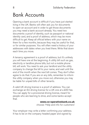## Bank Accounts

Opening a bank account is difficult if you have just started living in the UK. Banks will often ask you for documents to open an account and in order to get those documents you may need a bank account already. You need two documents: a proof of identity, such as passport or national identity card, and a proof of address, which may be more difficult to get. Keep all official letters with your name on them for a few months, because they may be useful for that, or for similar purposes. You will often need a history of your addresses with dates when you lived there. Write that down each time you move.

A tenancy agreement is a proof of address, but it's unlikely you will have one at the beginning. A utility bill such as gas, electricity or landline phone bills, but not a mobile phone bill, will work. You need to ask your landlord and the utility company to change the bill to your name, and wait until the end of the month when the next bill comes. They don't often agree to do that. If you are on any bills, remember to inform the utility company when you move out, otherwise you may be liable for unpaid bills of other tenants.

A valid UK driving license is a proof of address. You can exchange an EU driving license for a UK one at a £50 fee. You can apply for a provisional driving license, meant for people who are learning to drive, and some banks accept that.

#### **www.co-operativebank.co.uk**

choose: 'Help and info for customers'

Your employer may write a letter confirming your address. It has to be on the company headed paper and signed by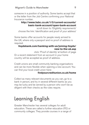someone in a position of authority. Some banks accept that or the letter from the Job Centre confirming your National Insurance number.

#### **http://www.hsbc.co.uk/1/2/current-accounts/ basic-bank-account/open-bank-account**

scroll down to: 'Eligibility requirements' choose the link: 'identification and proof of your address'

Some banks offer accounts for people newly arrived to the UK, where only a passport and no proof of address is required.

#### **lloydsbank.com/banking-with-us/joining-lloyds/ new-to-the-uk.asp**

click: 'Proof of identity' at bottom of page Or a recent statement from an account in your home country will be accepted as proof of address.

Credit unions are small community banking organisations and can be more flexible when opening a new account. You can find your local credit union here:

#### **findyourcreditunion.co.uk/home**

Collect as many relevant documents as you can, go to a bank in person, and try in several different banks as you may be lucky and be served by a person who won't be as diligent with their checks as the rules require.

## Learning English

Greater Manchester has several colleges for adult education. These are called a further education (FE) or community colleges. They provide courses in a range of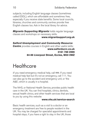subjects, including English language classes (sometimes called ESOL), which are affordable and sometimes free, especially if you receive state benefits. Some local councils, libraries, churches and community centres provide free English classes too. Ask in the local library for advice.

*Migrants Supporting Migrants* holds regular language classes and workshops on necessary skills.

**www.migrantsupport.org.uk**

*Salford Unemployment and Community Resource*  **Centre** provides courses in English and other useful skills: **www.salforducrc.co.uk 0161 789 2999 84-86 Liverpool Street, Eccles, M30 0WZ**

## **Healthcare**

If you need emergency medical help, call 999. If you need medical help fast but it's not an emergency, call 111. You can also go to the accident and emergency unit, or 'the A&E', which is usually in a hospital.

The NHS, or National Health Service, provides public health care in the UK. You can find hospitals, clinics, dentists, sexual health clinics, and other health services that are local to you by using this website:

#### **www.nhs.uk/service-search**

Basic health services, such as a visit to a doctor or an emergency treatment are free to people resident in the UK. You may be charged for specialist appointments and hospital stays, if you have a right to stay in the UK, those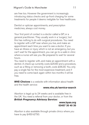are free too. However the government is increasingly introducing status checks and up-front charging for some treatments for people it deems ineligible for free healthcare.

Dentist or optician appointments, and prescription medicines, always cost money.

Your first point of contact is a doctor called a GP, or a general practitioner. They usually work in a 'surgery', but this has nothing to do with surgical procedures. You need to register with a GP near where you live, and make an appointment each time you want to see a doctor. If you have an illness or injury which is not an emergency, but you can't wait for the appointment, you can go to a walk-in clinic where a nurse will see you. Be prepared to wait for several hours.

You need to register with, and make an appointment with a dentist. A check-up currently costs £20.60 and a procedure, such as a filling or removing a tooth, costs £56.30. You only pay a single fee for the most expensive treatment, and if you need to come back again within two months it will be free.

*NHS Choices* is a website with information about health and the health service:

#### **www.nhs.uk/service-search**

Abortion is legal up to 24 weeks and is available free in the UK. You need a referral from your doctor, or from the *British Pregnancy Advisory Service:*

> **www.bpas.org 03457 30 40 30**

Abortion is also available through private clinics where you have to pay £450-£750.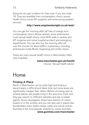Everyone can get condoms for free, even if you are under 16. They are available from contraception clinics, sexual health clinics, some GP surgeries and some young people's services.

#### **http://www.anyplanstonight.co.uk/web/**

You can get the 'morning after pill' free of charge from contraception clinics, Brook centres, some pharmacies, most sexual health clinics, most NHS walk-in centres and GP surgeries and some hospital accident and emergency departments. You can also buy the morning after pill over the counter for about £26 in a pharmacy, including pharmacies inside Boots, Superdrug and similar stores.

There are many sexual health clinics in Manchester, often near hospitals:

#### **www.manchester.gov.uk/health**

choose: 'Sexual health advice'.

## Home

#### Finding A Place

Rents in Manchester can be quite high and finding a decent place is difficult and takes time, but some areas are significantly cheaper than others. Before choosing, look at several places, ask people living in the area how much rent they pay, search on different websites and ask in estate agents. Some newsagents shops have adverts on notice boards or in the window, and you can also ask in places like launderettes, pubs, barber shops, cafés and social centres. Gumtree is the most popular website for rooms and flats:

#### **www.gumtree.com/manchester**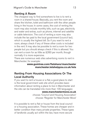#### Renting A Room

The cheapest way to find somewhere to live is to rent a room in a shared house. Basically, you rent the room and share the kitchen, toilet and bathroom with the other people living in the house. In some cases, the cost of renting the room may also include monthly bills, such as gas, electricity and water and extras, such as phone, internet and satellite or cable television. The cost of renting a room may also include the tax paid to the local government (council tax), which is usually the highest bill. So if you want to rent a room, always check if any of these other costs is included in the rent. It may also be possible to rent a room for two people but you should always check if this is allowed. You can rent a room for as little as £260 per month, though normally it is more expensive.

There are numerous web sites advertising rooms to rent in Manchester; for example:

#### **www.gumtree.com/flatshare/manchester manchester.letshelpyou.co.uk/lets**

#### Renting From Housing Associations Or The Local Authority

If you want to rent a house or a flat, a good place to start is the local government web site which provides basic information about renting a place to live in Manchester and the site can be translated into more than 100 languages:

#### **www.manchestermove.co.uk**

choose: 'Council and Housing Association' choose: 'Register for Manchester Move'

It is possible to rent a flat or house from the local council or a housing association. These homes are cheaper and in better condition than many private properties. These types of landlords usually act within the law, have more secure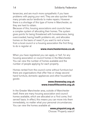tenancies, and are much more sympathetic if you have problems with paying your rent. They are also quicker than many private sector landlords to make repairs. However there is a shortage of this type of home in Manchester, so they are hard to obtain.

Because of this, housing associations and councils have a complex system of allocating their homes. The system gives points for being threatened with homelessness, being overcrowded, having health problems etc., and allocates homes on the basis of need. If you want to rent a home from a local council or a housing association the first thing to do is register at

#### **www.manchestermove.co.uk**

When you have registered you can apply, or 'bid', for any housing association or council homes in the Manchester. You can view the number of homes available and the number of people applying for each property.

Homes rented from the council come without furniture but there are organisations that offer free or cheap second hand furniture, domestic appliances and other household goods:

#### **www.thewesley.org.uk www.treeoflifecentre.org.uk**

In the Greater Manchester area, outside of Manchester itself, there are many housing association and council homes available, which are allocated on a 'first come, first served' basis. In effect, this means you can move into them immediately, no matter what your personal circumstances. You can view the homes available at:

#### **www.pinpoint.org.uk**

Choose: 'Property search'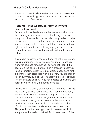It is easy to travel to Manchester from many of these areas, so it is worth checking these homes even if you are hoping to find work in Manchester.

#### Renting A Flat Or House From A Private Sector Landlord

Private sector landlords rent out homes as a business and their primary aim is to make a profit. Although there are many decent landlords, there are also many bad ones, who will try to scam you. Therefore, when renting from a private landlord, you need to be more careful and know your basic rights as a tenant before entering any agreement with a private landlord. There is a basic guide to tenants' rights below.

It also pays to carefully check out any flat or house you are thinking of renting. Scams are very common. Do not pay money in advance for anything you have not seen. If the deal looks too good to be true, then it probably is not true. People sometimes get you to pay a large deposit and rent in advance, then disappear with the money. You are then at risk of summary eviction. Unfortunately, this is very difficult to fight or guard against. Try to keep copies of anything you agree in writing, ideally in a formal contract.

Always view a property before renting it and, when viewing the property, always have a good look round. Remember, Manchester's climate is cold and damp, and living in a cold and damp home is bad for your health, expensive to heat and can make your life miserable. So, always look for signs of damp, black mould on the walls, or patches of wall that have been newly painted to conceal mould. Also, check out the heating system to make sure it looks adequate and is well maintained. Ask to see a copy of the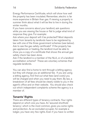Energy Performance Certificate, which will show how well the property has been insulated. Remember, electric is far more expensive in Britain than gas. If viewing a property in summer think about what it will be like to live in during the winter months.

If you have concerns about your landlord, ask questions while you are viewing the house or flat to judge what kind of response they give. For example:

Ask where your deposit will it be protected? Most deposits taken from tenants by landlords have to be registered by law with one of the three government schemes (see below). Ask to see the gas safety certificate? If the property has gas appliances or heating, the landlord must be able to show you a copy of a certificate that shows the annual gas safety check has been done.

Ask if the landlord is a member of the NLA, or of a landlord accreditation scheme? These are voluntary schemes that regulate landlords.

You can also find a home to rent through a letting agency but they will charge you an additional fee. If you are using a letting agency, first find out what fees (and costs) you will be charged and when you need to pay them. By law, a breakdown of all fees should be clearly visible to you in the agent's office and on their website. You should also check out which independent complaints scheme the agency is a member of.

#### Tenants' Rights

There are different types of tenancy contracts. Your rights depend on which one you have. An 'assured shorthold tenancy', which is the most common, gives you some rights and protection. As an excluded occupier, for example a lodger, you have very few rights. Even if you have no written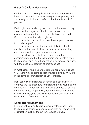contract you still have rights as long as you can prove you have paid the landlord. Ask for receipts when you pay rent and ideally pay by bank transfer so that there is proof of payment.

Basic rights are implied by law. You have them even if they are not written in your contract. If the contract contains clauses that are contrary to the law, the law comes first. Some of the most important rights are:

- Your landlord must carry out basic repairs (damage is called disrepair).
- Your landlord must keep the installations for the supply of water, gas, electricity, sanitation, space heating and heating water in good working order.
- You have the right to live peacefully in the accommodation without nuisance from your landlord (your landlord must give you 24 hrs' notice in advance of any visit, with the possible exception of emergencies).

In most cases, your landlord must not discriminate against you. There may be some exceptions, for example, if you live in the same accommodation as your landlord.

Rent can only be increased by formal application. If your contract has the procedure for increasing rent, your landlord must follow it. Otherwise, it [s no more than once a year with a month's notice for periodic (month-by-month or week-byweek) tenancies, and only with your consent on fixed-term ones until the fixed term runs out.

#### Landlord Harassment

Harassment by a landlord is a criminal offence and if your landlord is harassing you, you can speak to an independent organisation such as the Citizen's Advice Bureau.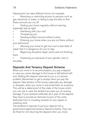Harassment can take different forms, for example:

Removing or restricting access to services such as gas, electricity or water, or failing to pay the bills so that these services are cut off

Visiting your home regularly without warning, especially late at night

- Interfering with your mail
- Threatening you
- Sending builders around without notice
- Entering your home when you are not there, without your permission

Allowing your home to get into such a bad state of repair that it is dangerous for you to stay

Beginning disruptive repair works and not finishing them

Harassing you because of your gender, race or sexuality.

#### Deposits And Tenancy Deposit Scheme

When you move in to accommodation, you pay a deposit in case you cause damage to the house or fall behind with rent. Getting the deposit returned to you is a common problem. Remember to get a receipt when you pay the deposit. Take photos of the house, especially any damage or disrepair, when you move in and email them to someone. This will be a dated proof of the state of the house which you can use in case the landlord accuses you of causing damage. If your landlord withholds all or part of the deposit, they have to provide an itemised invoice of the costs deducted from it, including receipts for any repairs or cleaning work.

The landlord is required to put your deposit into a government-approved tenancy deposit scheme. They can be fined for not returning the deposit when you move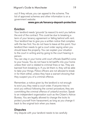out. If they refuse, you can appeal to the scheme. The list of approved schemes and other information is on a government website:

#### **www.gov.uk/tenancy-deposit-protection**

#### Eviction

Your landlord needs 'grounds' (a reason) to evict you before the end of the contract. This could be due to breaking a term of your tenancy agreement or falling behind with rent. Your landlord has to give you a written notice that complies with the law first. You do not have to leave at this point. Your landlord then needs to get a court order saying when you should leave the property. You can explain your situation to the court in writing and by going to the court hearing in person.

You can stay in your home until court officials (bailiffs) come to your house. You do not have to let bailiffs into your home unless their visit is related to criminal fines or tax. They are banned from breaking in. If you let them in, they will be able to take your things. Police officers are not allowed to break in for them either, unless they have a warrant showing that they suspect you of a criminal offence.

Remember, a notice given by the landlord is not enough to evict you; they need a court order. If anyone tries to evict you without following the correct procedure, they are committing the criminal offence of unlawful eviction. Speak to an independent organisation such as the Citizen's Advice Bureau. You are legally allowed to change the locks to protect yourself from harassment, as long as you change it back to the original lock when you leave.

#### **Disputes**

Any dispute with your landlord needs to be carefully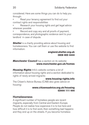considered. Here are some things you can do to help you through:

Read your tenancy agreement to find out your contract rights and responsibilities

Research your housing rights and get legal advice wherever possible

Record and copy any and all proofs of payment, correspondence, and photographic evidence sent to your landlord in case of dispute.

**Shelter** is a charity providing advice about housing and homelessness. You can call them or use the website to find information:

#### **england.shelter.org.uk 0808 800 4444**

#### *Manchester Council* has a section on its website: **www.manchester.gov.uk/homes**

*Housing Rights* Info's website contains a lot of information about housing rights and a section dedicated to rights of newly arrived migrants:

#### **www.housing-rights.info**

The Citizen's Advice Bureau (CAB) also gives advice on housing:

#### **www.citizensadvice.org.uk/housing 03444 111 444**

#### Homelessness

A significant number of homeless people are recent migrants, especially from Central and Eastern Europe. People do not realise how expensive it is to live here and how difficult it is to find work; then something bad happens and they end up on the streets. If you become homeless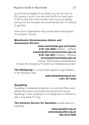you will not be eligible for any help if you are not from an EU country, or even if you are from the EU but have been in UK for less than three months. Even if you are eligible, services for the homeless are overstretched and it is difficult to get help.

Some more organisations that provide advice and support for homeless include:

#### *Manchester Homelessness Advice and Assessment Service*:

#### **www.manchester.gov.uk/homes 0161 234 4692** (9:00am - 4.30pm) **haasdutyofficer@manchester.gov.uk 0161 234 5001** (4:30pm - 9:00am) **mcsreply@manchester.gov.uk**

choose: 'Advice about homelessness' choose: 'An emergency? Contact our homelessness team'.

**The Wellspring** is a charity that supports rough sleepers in the Stockport area.

#### **www.thewellspring.co.uk/ 0161 477 6344**

#### **Squatting**

Squatting in residential properties is a criminal offence and people have been prosecuted and sentenced to prison. Squatting in other properties is not illegal but it is difficult to stay in one place for long.

**The Advisory Service for Squatters** provide advice on squatting:

> **www.squatter.org.uk advice@squatter.org.uk 020 3216 0099**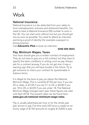## **Work**

#### National Insurance

National Insurance is a tax deducted from your salary to fund unemployment, sickness and retirement benefits. You need to have a National Insurance (NI) number to work in the UK. You can start work without one but you should get one as soon as possible. You need to attend an interview and bring a proof of identity (for example a passport or driving licence).

Call *Jobcentre Plus* to book an interview:

#### **0345 600 0643**

#### Pay, Minimum Wages, Taxes

Your boss should give you a written contract of employment. They do not have to give you a full contract, but they have to specify the basic conditions in writing, such as pay. Always ask for a contract anyway. If you do not get one, it may a warning sign that you will have trouble in the future. Try to get someone to check your contract for questionable or dubious terms.

It is illegal for the boss to pay you below the National Minimum Wage. This is currently £7.50 per hour if you are 25 or older, or £7.05 if you are 21 to 24, or £5.60 if you are 18 to 20, or £4.05 if you are under 18. The National Minimum Wage changes each year, these figures are valid until April 2018. The present rates can be found here: **www.gov.uk/national-minimum-wage-rates**.

Pay is usually advertised per hour or for the whole year (per annum or pa). Full time work (40 hours a week) on an hourly wage of £7.50 amounts to roughly £15,600 a year.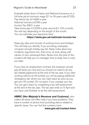Example break down of taxes and National Insurance on a full-time job at minimum wage (21 to 24 years rate £7.05): Pay before tax: £14,664 a year National Insurance £780 a year Income Tax: £631 a year Take-home pay: £13,253 a year, around £1,104 a month; this will vary depending on the length of the month. You can estimate your payments here:

#### **https://www.gov.uk/estimate-income-tax**

Keep pay slips and records of working hours and holidays. This will help you identify if you are being underpaid, not given enough holiday pay etc. Keep notes about any incidents, arguments etc., that occur at work, along with names of who witnessed them. Notes from the time of the incident will help you if a manager tries to bully, fine or sack you later.

If you have an employment contract, the employer should pay all taxes you owe and you should not need to do any tax-related paperwork at the end of the tax year. If you start working without an NI number you will be paying additional 'emergency tax' which you can claim back as soon as you get your NI number. Do not panic if you overpay your tax. You can get it back by completing a tax self-assessment at the end of the tax year. The tax year ends on 5 April and you have until October to do the self-assessment.

*HMRC (Her Majesty's Revenue and Customs)*, who collect all taxes, will often help if you have problems. They have a number of phone lines providing advice related to specific taxes. You can find the numbers here:

#### **www.gov.uk/contact-hmrc**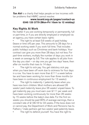**Tax Aid** is a charity that helps people on low incomes with tax problems that HMRC cannot resolve:

#### **www.taxaid.org.uk/pages/contact-us 0345 120 3779 (Mon-Fri 10am to 12 midday)**

#### Key Rights At Work

No matter if you are working temporarily or permanently, full or part-time, or if you are directly employed or employed via an agency, you have certain basic rights:

The right to at least 5.6 weeks of paid holiday (leave or time off) per year. This amounts to 28 days for a normal working week if you work full time. That includes public holidays such as Christmas and bank holidays. Your contract can give you more than 28 days, but not less. For part-time workers, multiply the number of days you work in a week on average by 5.6. The rule applies to all jobs from the day you start – on day one you get two days' leave, then after six months that rises to 14 days.

The right to sick pay. You get statutory sick pay when you have been off work due to sickness for four days in a row. You have to earn more than £111 a week before tax and have been working for more than three months (or have been in continuous employment for 13 weeks).

The right to maternity  $\ell$  paternity leave when you have new born children. Most mothers are allowed 26 weeks' paid maternity leave plus 26 weeks' unpaid leave. To get maternity pay you must earn over £111 per week and have been working continuously for more than 26 weeks by 15 weeks before the baby's due date. For the first six weeks you should be paid 90% of average earnings, then a constant rate of £138.18 for 33 weeks. If the boss does not or cannot pay, the Department of Work and Pensions has to. Fathers / male partners get two weeks' paid paternity leave.

The right to defend yourself. You have the right to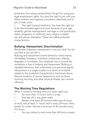protection from being sacked (fired, "let go") for using your legal employment rights. You have the right to join with your fellow workers and organise yourselves collectively, and to join a trade union.

The right to equal treatment. You have the right not to be discriminated against at work because of your age, disability, gender reassignment, marriage or civil partnership status, pregnancy or maternity, race, religion or belief, sex and sexual orientation. These are called protected characteristics.

#### Bullying, Harassment, Discrimination

Remember, bullying or harassment is not your fault. You do not have to put up with it.

Bullying and harassment involve behaviour which harms, intimidates, threatens, victimises, undermines, offends, degrades or humiliates. Your employer has to ensure the workplace is free of bullying and harassment. Bullying is repeated behaviour that undermines your personal dignity. Harassment is a single incident or a series of incidents related to the protected characteristics mentioned above. Serious incidents of sexual harassment, such as those involving touching, and other physical threats, are criminal offences.

#### The Working Time Regulations

When it comes to working time your basic rights are:

- No more than 13 hours' work in a day.
- One day off in any given week.
- Breaks of at least 20 minutes after each 6 hours of work, and at least 11 hours' rest in every 24 hours. Rest breaks for under-18s are a minimum of 30 minutes every 4½ hours.
- You can refuse to work more than 48 hours a week.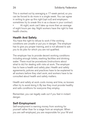This is worked out by averaging a 17-week period, so you can be forced to do more in a single week. You can agree in writing to give up this right (opt out) and employers sometimes try to sneak this in as a clause in your contract. At night, work can't take up more than an average

of eight hours per day. Night workers have the right to free health checks.

#### Health And Safety

You have the right to refuse to work if the working conditions are unsafe or put you in danger. The employer has to give you proper training, and is not allowed to ask you to do jobs for which you are not qualified.

The employer has to provide decent working conditions including enough toilets, washing facilities and drinking water. There must be procedures (instructions about what to do) for dealing with risks at work. The employer has to have a health and safety plan. Health and safety agreements, policies and practices have to be explained to all workers before they start work, and workers have to be consulted about health and safety matters.

Health and safety at work costs money and time, so bosses often try to avoid doing it. By law they must provide healthy and safe conditions for everyone they employ.

Remember, you can legally walk out if you feel in instant danger.

#### Self-Employment

Self-employment is earning money from working for yourself rather than for a wage from an employer. When you are self-employed, you are responsible for your NI and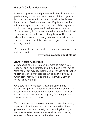income tax payments and paperwork. National Insurance is paid monthly, and income tax at the end of the tax year, and both can be a substantial amount. You will probably need help from a professional accountant. Rights, such as the minimum wage, working hours, sick and holiday pay are only applicable to employees, not to self-employed people. Some bosses try to force workers to become self-employed to save on taxes and to take their rights away. This is called false self-employment. It is very common in certain sectors such as construction. It is illegal but the government does nothing about it.

You can use this website to check if you are an employee or self-employed:

#### **www.gov.uk/employment-status**

#### Zero-Hours Contracts

A zero hours contract is an employment contract which does not give you guaranteed working hours. It may not say 'zero hours', but may say that the employer has no obligation to provide work. It may also contain an exclusivity clause, which prevents you from taking on other work. Both of these things are legal.

On a zero hours contract you have the same rights to holiday, sick pay and maternity leave as other workers. The bosses sometimes refuse these rights illegally. They may never give you enough work to qualify for the rights where there is an income threshold.

Zero hours contracts are very common in retail, hospitality, agency work and other low paid jobs. You will not have guaranteed hours each week, you may not get a rota, and you may be asked to come to work at very short notice, often only a few hours before the start time.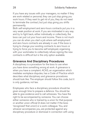If you have any issues with your managers, no matter if they are work related or personal, they can just stop giving you work hours. If they want to get rid of you, they do not need to terminate the contract, but just stop giving you shifts permanently.

Both self-employment and zero-hours contracts put you in a very weak position at work. If you are mistreated in any way and try to fight back, either individually or collectively, the boss can just cut your hours and income. There is not much you can do when you start a job where self-employment and zero hours contracts are already in use. If the boss is trying to change your existing contracts to zero hours or trying to force you to become self-employed, organising with your workmates to collectively refuse signing the new contracts is difficult but is the only option available.

#### Grievance And Disciplinary Procedures

A disciplinary is a procedure for the boss to use when you have done something wrong at work. A grievance is when you have a complaint. ACAS, an organisation which mediates workplace disputes, has a Code of Practice which describes what disciplinary and grievance procedures should look like. The employer should follow this code, but it is only guidance, not law.

Employees who face a disciplinary procedure should be given enough time to prepare a defence. You should be able to give evidence and to call witnesses. You have the right to be accompanied by someone. You can choose either someone who is trained by a union for that purpose or another union official (it does not matter if the boss 'recognised' that union) or a work colleague. You, and whoever accompanies you, are protected against any disciplinary procedure or dismissal in connection with using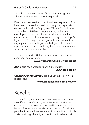#### Migrant's Guide to Manchester 29

this right to be accompanied. Disciplinary hearings must take place within a reasonable time period.

If you cannot resolve the case within the workplace, or if you have been dismissed (sacked), you can go to a specialist employment court, the Employment Tribunal. You will have to pay a fee of £390 or more, depending on the type of case. If you lose and the tribunal decides your case had no chance of success, they may ask you to pay the employer's legal costs. You may represent yourself, or a union official may represent you, but if you need a legal professional to represent you, you will have to pay their fees. If you win, you will get monetary compensation.

The trade unions (TUC) have a website with information about your rights at work:

#### **www.worksmart.org.uk/work-rights**

*ACAS* also has a website with this information:

#### **www.acas.org.uk**

*Citizen's Advice Bureau* can give you advice on workrelated issues:

#### **www.citizensadvice.org.uk/work**

## **Benefits**

The benefits system in the UK is very complicated. There are different benefits and your individual circumstances dictate which ones you can claim and how much you will be paid. Payments are usually low and are paid for a limited period of time. You have to meet various conditions, not only to start claiming a benefit, but also to continue being paid.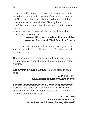If you are an EU citizen, you have to work for three months in the UK to be entitled to benefits. If you are from outside the EU, you may be able to claim some benefits, but the rules are extremely complicated. Claiming benefits as a non-EU citizen may negatively impact your right to remain in the UK.

You can use one of these calculators to estimate what benefits you could receive:

#### **www.entitledto.co.uk/benefits-calculator www.turn2us.org.uk/Find-Benefits-Grants**

Benefit fraud, deliberately or dishonestly claiming more than you are entitled to, is an offence in the UK and may result in a prison sentence.

The actual amount you may be paid will depend on your circumstances and you should seek qualified advice before claiming.

**The Citizens Advice Bureau** is a good place to seek help:

#### **03444 111 444 www.citizensadvice.org.uk/benefits**

#### *Salford Unemployment and Community Resource*

**Centre** gives advice on welfare benefits, as well as on employment law, debt management, and offers free English language and other classes:

#### **0161 789 2999 www.salforducrc.co.uk 84-86 Liverpool Street, Eccles, M30 0WZ**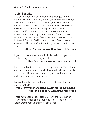#### Main Benefits

The government is making significant changes to the benefits system. The new system replaces Housing Benefit, Tax Credits, Job Seekers Allowance, and Employment support Allowance with a single benefit called *Universal*  **Credit.** The changes are being introduced in different areas at different times so where you live determines whether you need to apply for Universal Credit or the old benefits, however most of Manchester will be covered by Universal Credit in 2018. You can check if your area is covered by Universal Credit putting your postcode into this site:

#### **https://ucpostcode.entitledto.co.uk/ucdate**

If you live in an area covered by Universal Credit you can apply through the following website:

#### **http://www.gov.uk/apply-universal-credit**

Even if you live in an area covered by Universal Credit, there are some circumstances in which you will still have to apply for Housing Benefit, for example if you have three or more children or you are a pensioner.

More information can be found on the Manchester city council website

#### **http://www.manchester.gov.uk/info/200008/benefits\_and\_support/6625/universal\_credit**

There have been a lot of problems with the introduction of Universal Credit and it usually takes six weeks before applicants to receive their first payments.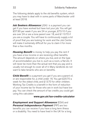The following details apply to the old benefits system, which you may have to deal with in some parts of Manchester until at least 2018.

*Job Seekers Allowance* (JSA) is a payment you can get if you have worked but have lost your job. You will get £57.90 per week if you are 24 or younger, £73.10 if you are over 24 or are a lone parent over 18, and £113.70 if you are a couple. You will have to continuously supply a lot of proof that you are looking for work and the Job Centre will make it extremely difficult for you to claim it for more than a few months.

*Housing Benefit* is money to help you pay the rent if you have a low income or are receiving other benefits. The amount depends on where you live, and on the type of accommodation you live in, such as a room, a flat etc. It will never be more than the actual rent that you pay and is usually not enough to cover all of it. Many landlords do not want to take tenants who are on benefits.

*Child Benefit* is a payment you get if you are a parent of, or are responsible for, a child under 16. You get £20.70 a week for the oldest child, and £13.70 for other children. Working Tax Credits is a benefit in the form of reduction of your income tax for those who are in work but have low pay. You can check the amount of tax credits you could get using this calculator:

#### **www.gov.uk/tax-credits-calculator**

*Employment and Support Allowance* (ESA) and *Personal Independence Payment* (PIP) are two benefits you can receive if you have a long term illness or a disability. You need to have lived in the UK for a long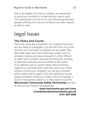time to be eligible. You have to undergo an assessment to prove your condition is so bad that you cannot work. This assessment is known to be very distressing and even people suffering from serious conditions are often classed as able to work.

## Legal Issues

#### The Police And Courts

Police are racist and xenophobic. As a migrant, the police are less likely to investigate if you are the victim of a crime, and they are more likely to presume you are guilty. They deal really badly with crimes affecting women, such as domestic violence and sexual assault. It is often difficult to report such incidents, because the police are unwilling to take them seriously and are horrible to the victims. If you decide to go to a police station take a friend to support you and write down what they say to you. If they refuse to record your complaint, you can go to another police station and try again. If you are reporting a sexual assault, domestic violence or a hate crime (for example, a racist or homophobic attack) it is often easier to use the *Manchester Community Safety Partnership* and first as they are less likely to be prejudiced:

> **www.manchester.gov.uk/crime crime&disorder@manchester.gov.uk 0161 856 9268**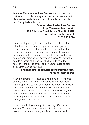*Greater Manchester Law Centre* is an organisation that aims to provide free legal advice and representation to Manchester residents who may not be able to access legal help from private solicitors.

#### **Greater Manchester Law Centre http://www.gmlaw.org.uk/ 159 Princess Road, Moss Side, M14 4RE reception@gmlaw.org.uk 0161 769 2244**

If you are stopped by the police in the street, try to stay calm. They can stop you and question you but you do not have to answer. They should only search you if they have reasonable grounds to suspect you of committing a crime, but in practice they do what they want. They have the right to make you remove your jacket and gloves. You have the right to a record of the arrest, which should have the ID number of the police officer on it. A useful guide to 'stop and search' can be found at:

#### **londonagainstpoliceviolence.wordpress.com/ guide-to-stop-search**

If you are arrested you have to give the police your name, address and date of birth. Do not answer any questions without speaking to a solicitor. You have a right to a solicitor free of charge for the police interview. Do not accept a solicitor recommended by the police (a duty solicitor), but try to find someone recommended by people you know. You have a right to a phone call and a right to a translator for you if you do not speak English.

If the police think you are guilty, they may offer you a 'caution'. This means you accept guilt but you will not be taken to court and will not get a fine or a sentence. A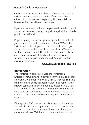caution stays on your criminal record. Get advice from the solicitor before accepting a caution. If you committed a crime but you do not want to plead guilty, do not tell the lawyer as they would have to report you.

If you are beaten up by the police you need a medical report as soon as possible. Making complaints against the police is possible but difficult.

Depending on your income, you may get a free solicitor if you are taken to court. If you earn less than £12,475 the solicitor will be free; if you earn more you will have to go through full means test, and if you earn above £22,325 you will have to pay yourself. This is for criminal cases only. In civil cases, such as debt, family or housing problems, you will most likely to have to pay yourself. You can use this calculator to check

#### **www.gov.uk/check-legal-aid**

#### Immigration

The immigration police are called the Immicration Enforcement (you may sometimes hear them called by their old name: UK Border Agency or UKBA). They regularly raid markets, shops, public transport stations and homes within migrant communities. Even though EU citizens have a right to live in the UK, the police and Immigration Enforcement have deported people back to EU countries in the past. This is more likely to happen if you are long term unemployed or homeless.

If Immigration Enforcement or police stop you in the street and ask about your immigration status, you do not have to answer any questions. You do not have to tell them your name and address. Tell them that you do not want to talk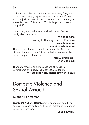to them, stay polite but confident and walk away. They are not allowed to stop you just because of your race. If they stop you just because of how you look, or the language you speak, tell them: 'This is racist. This is illegal. I will make a complaint.'

If you or anyone you know is detained, contact Bail for Immigration Detainees:

#### **020 7247 3590**

(Monday to Thursday, 10am to 12midday) **www.biduk.org**

#### **enquiries@biduk.org**

There is a lot of advice and information on the Greater Manchester Immigration Aid Unit website.The organisation holds a drop in on Tuesdays

#### **http://gmiau.org/ 0161 741 2658**

There are immigration advice sessions at Inspire in Levenshume on Fridays, call 0124 323333 for info. **747 Stockport Rd, Manchester, M19 3AR**

### Domestic Violence and Sexual Assault

#### Support For Women

*Women's Aid* and *Refuge* jointly operate a free 24 hour domestic violence hotline, and you can ask for an interpreter in your first language:

#### **0808 2000 247**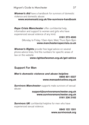*Women's Aid* have a handbook for survivors of domestic violence and domestic abuse:

#### **www.womensaid.org.uk/the-survivors-handbook**

*Rape Crisis Manchester* offer confidential help, information and support to women and girls who have experienced sexual violence of any kind:

#### **0161 273 4500** (Monday to Friday 10am-4pm; Wed, Thurs 6pm-9pm **www.manchesterrapecrisis.co.uk**

*Women's Rights* provide free legal advice on several phone advice lines, find the numbers for specific areas of law on the website

#### **www.rightsofwomen.org.uk/get-advice**

#### Support For Men

#### *Men's domestic violence and abuse helpline*: **0808 801 0327 www.mensadviceline.org.uk**

**Survivors Manchester** supports male survivors of sexual abuse:

#### **support@survivorsmanchester.org.uk www.survivorsmanchester.org.uk 0161 236 2182**

**Survivors UK** confidential helpline for men who have experienced sexual violence:

#### **0845 122 1201 www.survivorsuk.org**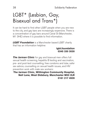## LGBT\* (Lesbian, Gay, Bisexual and Trans\*)

It can be hard to find other LGBT people when you are new to the city, and gay bars are increasingly expensive. There is a concentration of gay bars around Canal St (Manchester, M1 3HE) where it is possible to find information.

*LGBT Foundation* is a Manchester based LGBT charity that has an information helpline:

#### **lgbt.foundation 0345 330 3030**

**The Jarman Clinic** for gay and bisexual men offers full sexual health screening, hepatitis B testing and vaccination, pre- and post-test counselling, free condoms and lube, safer sex advice, counselling on sexual health issues, and HIV prevention work with male sex workers:

#### **The Jarman Clinic, Withington Community Hospital, Nell Lane, West Didsbury, Manchester M20 2LR 0161 217 4939**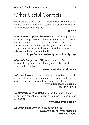## Other Useful Contacts

**GOV.UK** is a government run website explaining the law in an easy to understand way. It covers various areas including things covered by this guide:

#### **gov.uk**

*Manchester Migrant Solidarity* is a self-help group set up as a convergence space for all migrants including asylum seekers offering practical and social activities for mutual support, empowerment and solidarity with non-migrants to build a powerful political voice against the systematic mistreatment of migrants in the UK:

#### **https://manchestermigrantsolidarity.org/**

*Migrants Supporting Migrants*, based in Manchester, runs workshops and events for migrants, details can be found on their website:

#### **www.migrantsupport.org.uk**

**Citizens Advice** is a charity that provides advice to people in need. They run local centres which you can visit to get advice in person. Find your local centre using the website:

#### **www.citizensadvice.org.uk 03444 111 444**

**Community Law Centres** give qualified legal advice to people who cannot afford a lawyer. You can find one in your area here:

#### **www.lawcentres.org.uk**

*National Debt Line* gives advice about debt:

**www.gov.uk/national-debtline 0808 808 4000**